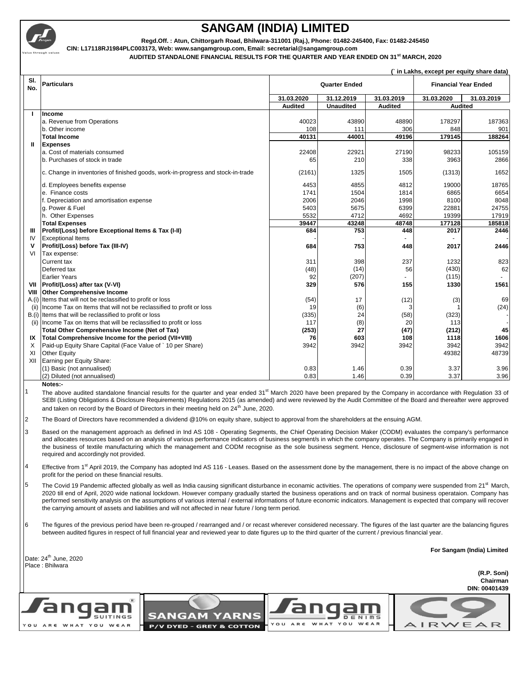

am

**SUITINGS** 

**SANGAM YARNS** 

**P/V DYED - GREY & COTTON** 

C

YOU ARE WHAT YOU WEAR

d

# **SANGAM (INDIA) LIMITED**

 **Regd.Off. : Atun, Chittorgarh Road, Bhilwara-311001 (Raj.), Phone: 01482-245400, Fax: 01482-245450**

 **CIN: L17118RJ1984PLC003173, Web: www.sangamgroup.com, Email: secretarial@sangamgroup.com**

 **AUDITED STANDALONE FINANCIAL RESULTS FOR THE QUARTER AND YEAR ENDED ON 31st MARCH, 2020**

|            | (` in Lakhs, except per equity share data)                                                                                                                                                                                                                                                                                                                                                                                                                                                                                                                                                                                                                  |                                                     |                                |                              |                              |                            |
|------------|-------------------------------------------------------------------------------------------------------------------------------------------------------------------------------------------------------------------------------------------------------------------------------------------------------------------------------------------------------------------------------------------------------------------------------------------------------------------------------------------------------------------------------------------------------------------------------------------------------------------------------------------------------------|-----------------------------------------------------|--------------------------------|------------------------------|------------------------------|----------------------------|
| SI.<br>No. | <b>Particulars</b>                                                                                                                                                                                                                                                                                                                                                                                                                                                                                                                                                                                                                                          | <b>Quarter Ended</b><br><b>Financial Year Ended</b> |                                |                              |                              |                            |
|            |                                                                                                                                                                                                                                                                                                                                                                                                                                                                                                                                                                                                                                                             | 31.03.2020<br><b>Audited</b>                        | 31.12.2019<br><b>Unaudited</b> | 31.03.2019<br><b>Audited</b> | 31.03.2020<br><b>Audited</b> | 31.03.2019                 |
| т          | Income                                                                                                                                                                                                                                                                                                                                                                                                                                                                                                                                                                                                                                                      |                                                     |                                |                              |                              |                            |
|            | a. Revenue from Operations                                                                                                                                                                                                                                                                                                                                                                                                                                                                                                                                                                                                                                  | 40023                                               | 43890                          | 48890                        | 178297                       | 187363                     |
|            | b. Other income                                                                                                                                                                                                                                                                                                                                                                                                                                                                                                                                                                                                                                             | 108                                                 | 111                            | 306                          | 848                          | 901                        |
|            | <b>Total Income</b>                                                                                                                                                                                                                                                                                                                                                                                                                                                                                                                                                                                                                                         | 40131                                               | 44001                          | 49196                        | 179145                       | 188264                     |
| Ш          | <b>Expenses</b>                                                                                                                                                                                                                                                                                                                                                                                                                                                                                                                                                                                                                                             |                                                     |                                |                              |                              |                            |
|            | a. Cost of materials consumed<br>b. Purchases of stock in trade                                                                                                                                                                                                                                                                                                                                                                                                                                                                                                                                                                                             | 22408<br>65                                         | 22921<br>210                   | 27190<br>338                 | 98233<br>3963                | 105159<br>2866             |
|            | c. Change in inventories of finished goods, work-in-progress and stock-in-trade                                                                                                                                                                                                                                                                                                                                                                                                                                                                                                                                                                             | (2161)                                              | 1325                           | 1505                         | (1313)                       | 1652                       |
|            | d. Employees benefits expense                                                                                                                                                                                                                                                                                                                                                                                                                                                                                                                                                                                                                               | 4453                                                | 4855                           | 4812                         | 19000                        | 18765                      |
|            | e. Finance costs                                                                                                                                                                                                                                                                                                                                                                                                                                                                                                                                                                                                                                            | 1741                                                | 1504                           | 1814                         | 6865                         | 6654                       |
|            | f. Depreciation and amortisation expense                                                                                                                                                                                                                                                                                                                                                                                                                                                                                                                                                                                                                    | 2006                                                | 2046                           | 1998                         | 8100                         | 8048                       |
|            | g. Power & Fuel                                                                                                                                                                                                                                                                                                                                                                                                                                                                                                                                                                                                                                             | 5403                                                | 5675                           | 6399                         | 22881                        | 24755                      |
|            | h. Other Expenses                                                                                                                                                                                                                                                                                                                                                                                                                                                                                                                                                                                                                                           | 5532                                                | 4712                           | 4692                         | 19399                        | 17919                      |
|            | <b>Total Expenses</b>                                                                                                                                                                                                                                                                                                                                                                                                                                                                                                                                                                                                                                       | 39447                                               | 43248                          | 48748                        | 177128                       | 185818                     |
| Ш          | Profit/(Loss) before Exceptional Items & Tax (I-II)                                                                                                                                                                                                                                                                                                                                                                                                                                                                                                                                                                                                         | 684                                                 | 753                            | 448                          | 2017                         | 2446                       |
| IV         | <b>Exceptional Items</b>                                                                                                                                                                                                                                                                                                                                                                                                                                                                                                                                                                                                                                    |                                                     |                                |                              |                              |                            |
| ٧          | Profit/(Loss) before Tax (III-IV)                                                                                                                                                                                                                                                                                                                                                                                                                                                                                                                                                                                                                           | 684                                                 | 753                            | 448                          | 2017                         | 2446                       |
| VI         | Tax expense:                                                                                                                                                                                                                                                                                                                                                                                                                                                                                                                                                                                                                                                |                                                     |                                |                              |                              |                            |
|            | Current tax                                                                                                                                                                                                                                                                                                                                                                                                                                                                                                                                                                                                                                                 | 311                                                 | 398                            | 237                          | 1232                         | 823                        |
|            | Deferred tax                                                                                                                                                                                                                                                                                                                                                                                                                                                                                                                                                                                                                                                | (48)                                                | (14)                           | 56                           | (430)                        | 62                         |
|            | <b>Earlier Years</b>                                                                                                                                                                                                                                                                                                                                                                                                                                                                                                                                                                                                                                        | 92                                                  | (207)                          |                              | (115)                        |                            |
| VII        | Profit/(Loss) after tax (V-VI)                                                                                                                                                                                                                                                                                                                                                                                                                                                                                                                                                                                                                              | 329                                                 | 576                            | 155                          | 1330                         | 1561                       |
| VIII       | <b>Other Comprehensive Income</b>                                                                                                                                                                                                                                                                                                                                                                                                                                                                                                                                                                                                                           |                                                     |                                |                              |                              |                            |
|            | A.(i) Items that will not be reclassified to profit or loss                                                                                                                                                                                                                                                                                                                                                                                                                                                                                                                                                                                                 | (54)                                                | 17                             | (12)                         | (3)                          | 69                         |
| (ii)       | Income Tax on Items that will not be reclassified to profit or loss                                                                                                                                                                                                                                                                                                                                                                                                                                                                                                                                                                                         | 19                                                  | (6)                            |                              |                              | (24)                       |
|            | B.(i) Items that will be reclassified to profit or loss                                                                                                                                                                                                                                                                                                                                                                                                                                                                                                                                                                                                     | (335)                                               | 24                             | (58)                         | (323)                        |                            |
| (ii)       | Income Tax on Items that will be reclassified to profit or loss                                                                                                                                                                                                                                                                                                                                                                                                                                                                                                                                                                                             | 117                                                 | (8)                            | 20                           | 113                          |                            |
|            | Total Other Comprehensive Income (Net of Tax)                                                                                                                                                                                                                                                                                                                                                                                                                                                                                                                                                                                                               | (253)                                               | 27                             | (47)                         | (212)                        | 45                         |
| IX         | Total Comprehensive Income for the period (VII+VIII)                                                                                                                                                                                                                                                                                                                                                                                                                                                                                                                                                                                                        | 76                                                  | 603                            | 108                          | 1118                         | 1606                       |
| Χ          | Paid-up Equity Share Capital (Face Value of `10 per Share)                                                                                                                                                                                                                                                                                                                                                                                                                                                                                                                                                                                                  | 3942                                                | 3942                           | 3942                         | 3942                         | 3942                       |
| XI<br>XII  | Other Equity                                                                                                                                                                                                                                                                                                                                                                                                                                                                                                                                                                                                                                                |                                                     |                                |                              | 49382                        | 48739                      |
|            | Earning per Equity Share:<br>(1) Basic (not annualised)                                                                                                                                                                                                                                                                                                                                                                                                                                                                                                                                                                                                     | 0.83                                                | 1.46                           | 0.39                         | 3.37                         | 3.96                       |
|            | (2) Diluted (not annualised)                                                                                                                                                                                                                                                                                                                                                                                                                                                                                                                                                                                                                                | 0.83                                                | 1.46                           | 0.39                         | 3.37                         | 3.96                       |
|            | Notes:-                                                                                                                                                                                                                                                                                                                                                                                                                                                                                                                                                                                                                                                     |                                                     |                                |                              |                              |                            |
| 1          | The above audited standalone financial results for the quarter and year ended 31 <sup>st</sup> March 2020 have been prepared by the Company in accordance with Regulation 33 of                                                                                                                                                                                                                                                                                                                                                                                                                                                                             |                                                     |                                |                              |                              |                            |
|            | SEBI (Listing Obligations & Disclosure Requirements) Regulations 2015 (as amended) and were reviewed by the Audit Committee of the Board and thereafter were approved<br>and taken on record by the Board of Directors in their meeting held on 24 <sup>th</sup> June, 2020.                                                                                                                                                                                                                                                                                                                                                                                |                                                     |                                |                              |                              |                            |
|            |                                                                                                                                                                                                                                                                                                                                                                                                                                                                                                                                                                                                                                                             |                                                     |                                |                              |                              |                            |
| 2          | The Board of Directors have recommended a dividend @10% on equity share, subject to approval from the shareholders at the ensuing AGM.                                                                                                                                                                                                                                                                                                                                                                                                                                                                                                                      |                                                     |                                |                              |                              |                            |
| 3          | Based on the management approach as defined in Ind AS 108 - Operating Segments, the Chief Operating Decision Maker (CODM) evaluates the company's performance<br>and allocates resources based on an analysis of various performance indicators of business segment/s in which the company operates. The Company is primarily engaged in<br>the business of textile manufacturing which the management and CODM recognise as the sole business segment. Hence, disclosure of segment-wise information is not<br>required and accordingly not provided.                                                                                                      |                                                     |                                |                              |                              |                            |
| 4          | Effective from 1 <sup>st</sup> April 2019, the Company has adopted Ind AS 116 - Leases. Based on the assessment done by the management, there is no impact of the above change on<br>profit for the period on these financial results.                                                                                                                                                                                                                                                                                                                                                                                                                      |                                                     |                                |                              |                              |                            |
| 5          | The Covid 19 Pandemic affected globally as well as India causing significant disturbance in econamic activities. The operations of company were suspended from 21 <sup>st</sup> March,<br>2020 till end of April, 2020 wide national lockdown. However company gradually started the business operations and on track of normal business operataion. Company has<br>performed sensitivity analysis on the assumptions of various internal / external informations of future economic indicators. Management is expected that company will recover<br>the carrying amount of assets and liabilities and will not affected in near future / long term period. |                                                     |                                |                              |                              |                            |
| 6          | The figures of the previous period have been re-grouped / rearranged and / or recast wherever considered necessary. The figures of the last quarter are the balancing figures<br>between audited figures in respect of full financial year and reviewed year to date figures up to the third quarter of the current / previous financial year.                                                                                                                                                                                                                                                                                                              |                                                     |                                |                              |                              |                            |
|            | Date: 24 <sup>th</sup> June, 2020                                                                                                                                                                                                                                                                                                                                                                                                                                                                                                                                                                                                                           |                                                     |                                |                              |                              | For Sangam (India) Limited |
|            | Place: Bhilwara                                                                                                                                                                                                                                                                                                                                                                                                                                                                                                                                                                                                                                             |                                                     |                                |                              |                              |                            |
|            |                                                                                                                                                                                                                                                                                                                                                                                                                                                                                                                                                                                                                                                             |                                                     |                                |                              |                              | (R.P. Soni)<br>Chairman    |
|            |                                                                                                                                                                                                                                                                                                                                                                                                                                                                                                                                                                                                                                                             |                                                     |                                |                              |                              | DIN: 00401439              |
|            |                                                                                                                                                                                                                                                                                                                                                                                                                                                                                                                                                                                                                                                             |                                                     |                                |                              |                              |                            |



am

**DENIMS** 

dl

П

YOU ARE WHAT YOU WEAR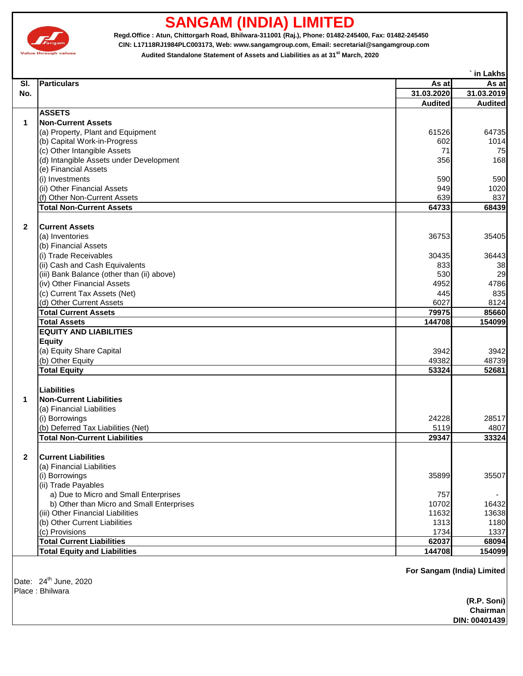

 **Regd.Office : Atun, Chittorgarh Road, Bhilwara-311001 (Raj.), Phone: 01482-245400, Fax: 01482-245450 CIN: L17118RJ1984PLC003173, Web: www.sangamgroup.com, Email: secretarial@sangamgroup.com Audited Standalone Statement of Assets and Liabilities as at 31st March, 2020**

|                |                                            |                | in Lakhs                   |
|----------------|--------------------------------------------|----------------|----------------------------|
| SI.            | <b>Particulars</b>                         | As at          | As at                      |
| No.            |                                            | 31.03.2020     | 31.03.2019                 |
|                |                                            | <b>Audited</b> | <b>Audited</b>             |
|                | <b>ASSETS</b>                              |                |                            |
| $\mathbf{1}$   | <b>Non-Current Assets</b>                  |                |                            |
|                | (a) Property, Plant and Equipment          | 61526          | 64735                      |
|                | (b) Capital Work-in-Progress               | 602            | 1014                       |
|                | (c) Other Intangible Assets                | 71             | 75                         |
|                | (d) Intangible Assets under Development    | 356            | 168                        |
|                | (e) Financial Assets                       |                |                            |
|                | (i) Investments                            | 590            | 590                        |
|                | (ii) Other Financial Assets                | 949            | 1020                       |
|                | (f) Other Non-Current Assets               | 639            | 837                        |
|                | <b>Total Non-Current Assets</b>            | 64733          | 68439                      |
| $\overline{2}$ | <b>Current Assets</b>                      |                |                            |
|                | (a) Inventories                            | 36753          | 35405                      |
|                | (b) Financial Assets                       |                |                            |
|                | (i) Trade Receivables                      | 30435          | 36443                      |
|                | (ii) Cash and Cash Equivalents             | 833            | 38                         |
|                | (iii) Bank Balance (other than (ii) above) | 530            | 29                         |
|                | (iv) Other Financial Assets                | 4952           | 4786                       |
|                | (c) Current Tax Assets (Net)               | 445            | 835                        |
|                | (d) Other Current Assets                   | 6027           | 8124                       |
|                | <b>Total Current Assets</b>                | 79975          | 85660                      |
|                | <b>Total Assets</b>                        | 144708         | 154099                     |
|                | <b>EQUITY AND LIABILITIES</b>              |                |                            |
|                | <b>Equity</b>                              |                |                            |
|                | (a) Equity Share Capital                   | 3942           | 3942                       |
|                | (b) Other Equity                           | 49382          | 48739                      |
|                | <b>Total Equity</b>                        | 53324          | 52681                      |
|                |                                            |                |                            |
|                | <b>Liabilities</b>                         |                |                            |
| $\mathbf 1$    | <b>Non-Current Liabilities</b>             |                |                            |
|                | (a) Financial Liabilities                  |                |                            |
|                | (i) Borrowings                             | 24228          | 28517                      |
|                | (b) Deferred Tax Liabilities (Net)         | 5119           | 4807                       |
|                | <b>Total Non-Current Liabilities</b>       | 29347          | 33324                      |
| $\mathbf{2}$   | <b>Current Liabilities</b>                 |                |                            |
|                | (a) Financial Liabilities                  |                |                            |
|                | (i) Borrowings                             | 35899          | 35507                      |
|                | (ii) Trade Payables                        |                |                            |
|                | a) Due to Micro and Small Enterprises      | 757            |                            |
|                | b) Other than Micro and Small Enterprises  | 10702          | 16432                      |
|                | (iii) Other Financial Liabilities          | 11632          | 13638                      |
|                | (b) Other Current Liabilities              | 1313           | 1180                       |
|                | (c) Provisions                             | 1734           | 1337                       |
|                | <b>Total Current Liabilities</b>           | 62037          | 68094                      |
|                | <b>Total Equity and Liabilities</b>        | 144708         | 154099                     |
|                |                                            |                | For Sangam (India) Limited |

Date: 24<sup>th</sup> June, 2020 Place : Bhilwara

**(R.P. Soni) Chairman DIN: 00401439**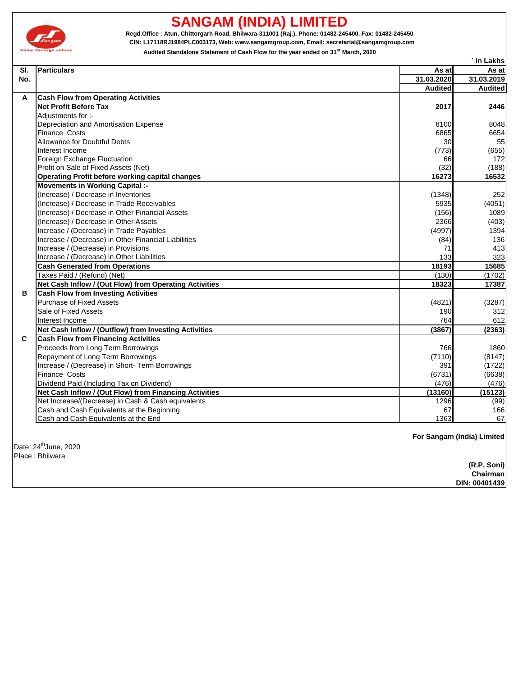

 **Regd.Office : Atun, Chittorgarh Road, Bhilwara-311001 (Raj.), Phone: 01482-245400, Fax: 01482-245450**

 **CIN: L17118RJ1984PLC003173, Web: www.sangamgroup.com, Email: secretarial@sangamgroup.com**

**Audited Standalone Statement of Cash Flow for the year ended on 31st March, 2020**

|     | in Lakhs                                                        |                |                |  |
|-----|-----------------------------------------------------------------|----------------|----------------|--|
| SI. | <b>Particulars</b>                                              | As at          | As at          |  |
| No. |                                                                 | 31.03.2020     | 31.03.2019     |  |
|     |                                                                 | <b>Audited</b> | <b>Audited</b> |  |
| A   | <b>Cash Flow from Operating Activities</b>                      |                |                |  |
|     | <b>Net Profit Before Tax</b>                                    | 2017           | 2446           |  |
|     | Adiustments for :-                                              |                |                |  |
|     | Depreciation and Amortisation Expense                           | 8100           | 8048           |  |
|     | <b>Finance Costs</b>                                            | 6865           | 6654           |  |
|     | Allowance for Doubtful Debts                                    | 30             | 55             |  |
|     | Interest Income                                                 | (773)          | (655)          |  |
|     | Foreign Exchange Fluctuation                                    | 66             | 172            |  |
|     | Profit on Sale of Fixed Assets (Net)                            | (32)           | (188)          |  |
|     | Operating Profit before working capital changes                 | 16273          | 16532          |  |
|     | <b>Movements in Working Capital :-</b>                          |                |                |  |
|     | (Increase) / Decrease in Inventories                            | (1348)         | 252            |  |
|     | (Increase) / Decrease in Trade Receivables                      | 5935           | (4051)         |  |
|     | (Increase) / Decrease in Other Financial Assets                 | (156)          | 1089           |  |
|     | (Increase) / Decrease in Other Assets                           | 2366           | (403)          |  |
|     | Increase / (Decrease) in Trade Payables                         | (4997)         | 1394           |  |
|     | Increase / (Decrease) in Other Financial Liabilities            | (84)           | 136            |  |
|     | Increase / (Decrease) in Provisions                             | 71             | 413            |  |
|     | Increase / (Decrease) in Other Liabilities                      | 133            | 323            |  |
|     | <b>Cash Generated from Operations</b>                           | 18193          | 15685          |  |
|     | Taxes Paid / (Refund) (Net)                                     | (130)          | (1702)         |  |
|     | Net Cash Inflow / (Out Flow) from Operating Activities          | 18323          | 17387          |  |
| в   | <b>Cash Flow from Investing Activities</b>                      |                |                |  |
|     | Purchase of Fixed Assets                                        | (4821)         | (3287)         |  |
|     | Sale of Fixed Assets                                            | 190            | 312            |  |
|     | Interest Income                                                 | 764            | 612            |  |
|     | Net Cash Inflow / (Outflow) from Investing Activities           | (3867)         | (2363)         |  |
| C.  | <b>Cash Flow from Financing Activities</b>                      |                |                |  |
|     | Proceeds from Long Term Borrowings                              | 766            | 1860           |  |
|     | Repayment of Long Term Borrowings                               | (7110)         | (8147)         |  |
|     | Increase / (Decrease) in Short- Term Borrowings                 | 391            | (1722)         |  |
|     | Finance Costs                                                   | (6731)         | (6638)         |  |
|     | Dividend Paid (Including Tax on Dividend)                       | (476)          | (476)          |  |
|     | Net Cash Inflow / (Out Flow) from Financing Activities          | (13160)        | (15123)        |  |
|     | Net Increase/(Decrease) in Cash & Cash equivalents              | 1296           | (99)           |  |
|     | Cash and Cash Equivalents at the Beginning                      | 67             | 166            |  |
|     | Cash and Cash Equivalents at the End                            | 1363           | 67             |  |
|     | For Sangam (India) Limited<br>Date: 24 <sup>th</sup> June, 2020 |                |                |  |

Place : Bhilwara

| $\sim$ . $\sim$ |               |  |
|-----------------|---------------|--|
|                 | (R.P. Soni)   |  |
|                 | Chairman      |  |
|                 | DIN: 00401439 |  |
|                 |               |  |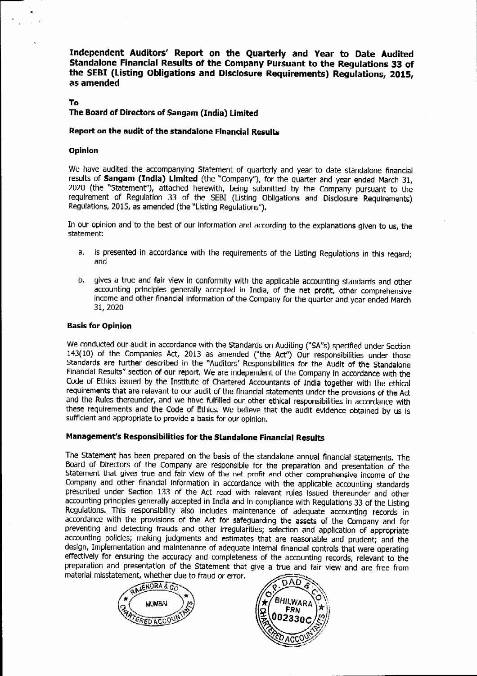Independent Auditors' Report on the Quarterly and Year to Date Audited Standalone Financial Results of the Company Pursuant to the Regulations 33 of the SEBI (Listing Obligations and Disclosure Requirements) Regulations, 2015, as amended

## To The Board of Directors of \$angam (India) Limited

### Report on the audit of the standalone Financial Results

### opinion

We have audited the accompanying Statement of quarterly and year to date standalone financial results of Sangam (India) Limited (the "Company"), for the quarter and year ended March 31, 2020 (the "Statement"), attached herewith, being submitted by the Company pursuant to the requirement of Regulation 33 of the SEBI (Listing Obligations and Disclosure Requirements) Regulations, 2015, as amended (the "Listing Regulations").

In our-opinion and to the best of our information and according to the explanations given to us, the statement:

- a. is presented in accordance with the requirements of the Listing Regulations in this regard; and
- b. gives a truc and fair view in conformity with the applicable accounting standards and other accounting principles generally accepted in India, of the net profit, other comprehensive income and other financial information of the Company for the quarter and year ended March 31,2020

### Basis for Opinion

We conducted our audit in accordance with the Standards on Auditing ("SA"s) specified under Section 143(10) of the Companies Act, 2013 as amended ("the Act") Our responsibilities under those Standards are further described in the "Auditors' Responsibilities for the Audit of the Standalone Financial Results" section of our report, We are independent of the Company In accordance with the Code of Ethics issued by the Institute of Chartered Accountants of India together with the ethical requirements that are relevant to our audit of the financial statements under the provisions of the Act and the Rules thereunder, and we have fulfilled our other ethical responsibilities in accordance with these requirements and the Code of Ethics. We believe that the audit evidence obtained by us is sufficient and appropriate to provide a basis for our opinion.

## Management's Responsibilities for the Standalone Financial Results

The Statement has been prepared on the basis of the standalone annual financial statements. The Board of Directors of the Company are responsible tor the preparation and presentation of the Statement that gives true and fair view of the net profit and other comprehensive income of the Company and other financial Information in accordance with the applicable accounting standards prescribed under Section 133 of the Act read with relevant rules issued thereunder and other accounting principles generally accepted in India and in compliance with Regulations 33 of the Listing Regulations. This responsibility also includes maintenance of adequate accounting records in accordance with the provisions of the Act for safeguarding the assets of the Company and for preventing and detecting frauds and other Irregularities; selection and application of appropriate accountlnq policies; making judgments and estimates that are reasonable and prudent; and the design, Implementation and maintenance of adequate internal financial controls that were operating effectively for ensuring the accuracy and completeness of the accounting records, relevant to the preparation and presentation of the Statement that give a true and fair view and are free from material misstatement, whether due to fraud or error .



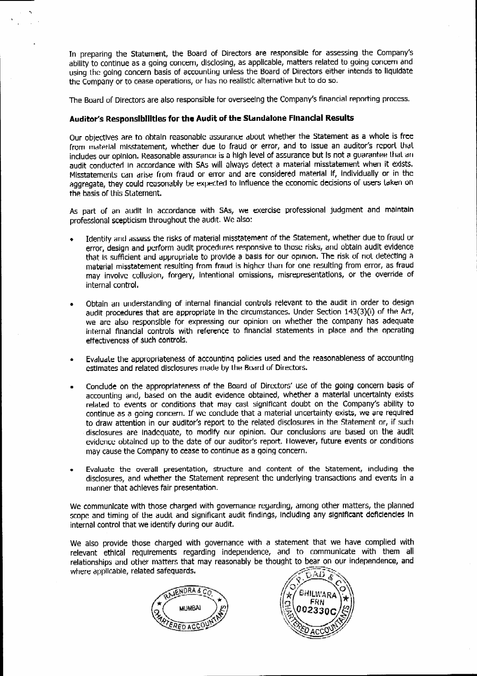In preparing the Statement, the Board of Directors are responsible for assessing the Company's ability to continue as a going concern, disclosing, as applicable, matters related to going concern and using the going concern basis of accounting unless the Board of Directors either intends to liquidate the company or to cease operations, or has no realistic alternative but to do so.

The Board of Directors are also responsible tor overseeing the Company's finandal reportinq process.

### Auditor's Responsibilities for the Audit of the Slandalone Financial Results

"\

Our objectives are to obtain reasonable assurance about whether the Statement as a whole is free from material misstatement, whether due to fraud or error, and to issue an auditor's report that includes our opinion. Reasonable assurance is a high level of assurance but is not a guarantee that an audit conducted in accordance with SAs will always detect a material misstatement when it exists. Misstatements can arise from fraud or error and are considered material If, Individually or in the aggregate, they could reasonably be expected to Influence the economic decisions of users taken on the basis of this Statement.

As part of an audit in accordance with SAs, we exercise professional judgment and maintain professional scepticism throughout the audit. we also:

- Identity and assess the risks of material misstatement of the Statement, whether due to fraud or error, design and perform audit procedures responsive to those risks, and obtain audit evidence that is sufficient and appropriate to provide a basis for our opinion. The risk of not detecting a material misstatement resulting from fraud is hiqhcr than for one resulting from error, as fraud may involve collusion, forgery, intentional omissions, misrepresentations, or the override of internal control.
- Obtain em understanding of internal financial controls relevant to the audit in order to design audit procedures that are appropriate In the circumstances. Under Section 143(3)(i) of the Act, we are also responsible for expressing our opinion on whether the company has adequate internal financial controls with reference to financial statements in place and the operating effectiveness of such controls.
- Evaluate the appropriateness of accounting policies used and the reasonableness of accounting estimates and related disclosures made by the Board of Directors.
- Conclude on the appropriateness of the Board of Directors' use of the going concern basis of accounting and, based on the audit evidence obtained, whether a material uncertainty exists  $related$  to events or conditions that may cast significant doubt on the Company's ability to continue as a going concern. If we. conclude that a material uncertainty exists, we are required to draw attention in our auditor's report to the related disclosures in the Statement or, if such . disclosures are madcquate, to modify our opinion. Our conclusions are based on the audit evidence obtained up to the date of our auditor's report. However, future events or conditions may cause the company to cease to continue as a qoinq concern.
- Evaluate the overall presentation, structure and content of the Statement, including the disclosures, and whether the Statement represent the underlying transactions and events in a manner that achieves fair presentation.

We communicate with those charged with governance regarding, among other matters, the planned scope and timing of the audit and significant audit findings, Including any Significant deficiencies In internal control that we identify during our audit.

We also provide those charged with governance with a statement that we have complied with relevant ethical requirements regarding independence, and to communicate with them all relationships and other matters that may reasonably be thought to bear on our independence, and where (1l)pllc:aL')le,related safequards.. / *;.':r~~'=:'~~~l"-.')~"'~~"*



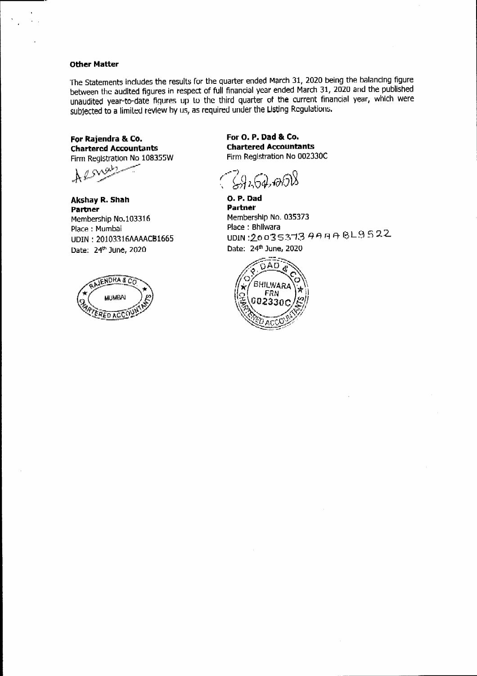### **Other Matter**

The Statements includes the results for the quarter ended March 31, 2020 being the balancing figure between the audited figures in respect of full financial year ended March 31, 2020 and the published unaudited year-to-date flqures up to the third quarter of the current financial year, which were subjected to a limited review by us, as required under the Listing Regulations.

**For Rajendra & Co. Chartered Accountants** Firm Registration No 10B355W

\ .t ••"'" "~ j'''', <sup>A</sup> *(,I.""'') ..".........,* ('/ I. *'~t.....• ",m"' ..,* ~ III' ';1I:IIIIN'" III\Jfa..r" .. n~

**Akshay R. Shah Partner** Membership No.l03316 Place : Mumbai UDIN : 20103316AAAACB1665 Date: 24<sup>th</sup> June, 2020



**For O. P. Dad 8t Co. Chartered Accountants** Firm Registration No 002330C

2,64,70618

o. P. Dad Partner Membership No. 035373 place: Bhllwara UDIN :2.00353"13 *4A* A A- 6L9.5 22 Date: 24th June, 202U

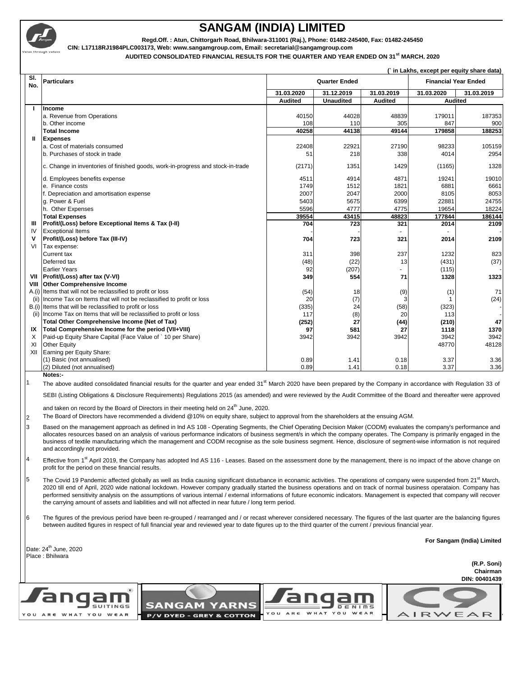

 **Regd.Off. : Atun, Chittorgarh Road, Bhilwara-311001 (Raj.), Phone: 01482-245400, Fax: 01482-245450**

 **CIN: L17118RJ1984PLC003173, Web: www.sangamgroup.com, Email: secretarial@sangamgroup.com**

 **AUDITED CONSOLIDATED FINANCIAL RESULTS FOR THE QUARTER AND YEAR ENDED ON 31st MARCH, 2020**

|                         | ( in Lakhs, except per equity share data)                                                                                                                                                                                                                                                                                                                                                                                                                                                                                                                                                                                                                   |                                                     |                  |                      |                     |            |
|-------------------------|-------------------------------------------------------------------------------------------------------------------------------------------------------------------------------------------------------------------------------------------------------------------------------------------------------------------------------------------------------------------------------------------------------------------------------------------------------------------------------------------------------------------------------------------------------------------------------------------------------------------------------------------------------------|-----------------------------------------------------|------------------|----------------------|---------------------|------------|
| SI.<br>No.              | <b>Particulars</b>                                                                                                                                                                                                                                                                                                                                                                                                                                                                                                                                                                                                                                          | <b>Quarter Ended</b><br><b>Financial Year Ended</b> |                  |                      |                     |            |
|                         |                                                                                                                                                                                                                                                                                                                                                                                                                                                                                                                                                                                                                                                             | 31.03.2020                                          | 31.12.2019       | 31.03.2019           | 31.03.2020          | 31.03.2019 |
|                         |                                                                                                                                                                                                                                                                                                                                                                                                                                                                                                                                                                                                                                                             | <b>Audited</b>                                      | <b>Unaudited</b> | <b>Audited</b>       | <b>Audited</b>      |            |
| L                       | Income                                                                                                                                                                                                                                                                                                                                                                                                                                                                                                                                                                                                                                                      |                                                     |                  |                      |                     |            |
|                         | a. Revenue from Operations                                                                                                                                                                                                                                                                                                                                                                                                                                                                                                                                                                                                                                  | 40150                                               | 44028            | 48839                | 179011              | 187353     |
|                         | b. Other income                                                                                                                                                                                                                                                                                                                                                                                                                                                                                                                                                                                                                                             | 108                                                 | 110              | 305                  | 847                 | 900        |
|                         | <b>Total Income</b>                                                                                                                                                                                                                                                                                                                                                                                                                                                                                                                                                                                                                                         | 40258                                               | 44138            | 49144                | 179858              | 188253     |
| Ш                       | <b>Expenses</b>                                                                                                                                                                                                                                                                                                                                                                                                                                                                                                                                                                                                                                             |                                                     |                  |                      |                     |            |
|                         | a. Cost of materials consumed                                                                                                                                                                                                                                                                                                                                                                                                                                                                                                                                                                                                                               | 22408                                               | 22921            | 27190                | 98233               | 105159     |
|                         | b. Purchases of stock in trade                                                                                                                                                                                                                                                                                                                                                                                                                                                                                                                                                                                                                              | 51                                                  | 218              | 338                  | 4014                | 2954       |
|                         | c. Change in inventories of finished goods, work-in-progress and stock-in-trade                                                                                                                                                                                                                                                                                                                                                                                                                                                                                                                                                                             | (2171)                                              | 1351             | 1429                 | (1165)              | 1328       |
|                         | d. Employees benefits expense                                                                                                                                                                                                                                                                                                                                                                                                                                                                                                                                                                                                                               | 4511                                                | 4914             | 4871                 | 19241               | 19010      |
|                         | e. Finance costs                                                                                                                                                                                                                                                                                                                                                                                                                                                                                                                                                                                                                                            | 1749                                                | 1512             | 1821                 | 6881                | 6661       |
|                         | f. Depreciation and amortisation expense                                                                                                                                                                                                                                                                                                                                                                                                                                                                                                                                                                                                                    | 2007                                                | 2047             | 2000                 | 8105                | 8053       |
|                         | g. Power & Fuel                                                                                                                                                                                                                                                                                                                                                                                                                                                                                                                                                                                                                                             | 5403                                                | 5675             | 6399                 | 22881               | 24755      |
|                         | h. Other Expenses                                                                                                                                                                                                                                                                                                                                                                                                                                                                                                                                                                                                                                           | 5596                                                | 4777             | 4775                 | 19654               | 18224      |
|                         | <b>Total Expenses</b>                                                                                                                                                                                                                                                                                                                                                                                                                                                                                                                                                                                                                                       | 39554                                               | 43415            | 48823                | 177844              | 186144     |
| Ш                       | Profit/(Loss) before Exceptional Items & Tax (I-II)                                                                                                                                                                                                                                                                                                                                                                                                                                                                                                                                                                                                         | 704                                                 | 723              | 321                  | 2014                | 2109       |
| IV                      | <b>Exceptional Items</b>                                                                                                                                                                                                                                                                                                                                                                                                                                                                                                                                                                                                                                    |                                                     |                  |                      |                     |            |
| V                       | Profit/(Loss) before Tax (III-IV)                                                                                                                                                                                                                                                                                                                                                                                                                                                                                                                                                                                                                           | 704                                                 | 723              | 321                  | 2014                | 2109       |
| VI                      | Tax expense:                                                                                                                                                                                                                                                                                                                                                                                                                                                                                                                                                                                                                                                |                                                     |                  |                      |                     |            |
|                         | Current tax                                                                                                                                                                                                                                                                                                                                                                                                                                                                                                                                                                                                                                                 | 311                                                 | 398              | 237                  | 1232                | 823        |
|                         | Deferred tax                                                                                                                                                                                                                                                                                                                                                                                                                                                                                                                                                                                                                                                | (48)                                                | (22)             | 13                   | (431)               | (37)       |
| VII                     | <b>Earlier Years</b><br>Profit/(Loss) after tax (V-VI)                                                                                                                                                                                                                                                                                                                                                                                                                                                                                                                                                                                                      | 92                                                  | (207)            | $\blacksquare$<br>71 | (115)               | 1323       |
| VIII                    | <b>Other Comprehensive Income</b>                                                                                                                                                                                                                                                                                                                                                                                                                                                                                                                                                                                                                           | 349                                                 | 554              |                      | 1328                |            |
| A.(i)                   | Items that will not be reclassified to profit or loss                                                                                                                                                                                                                                                                                                                                                                                                                                                                                                                                                                                                       | (54)                                                | 18               |                      |                     | 71         |
| (ii)                    | Income Tax on Items that will not be reclassified to profit or loss                                                                                                                                                                                                                                                                                                                                                                                                                                                                                                                                                                                         | 20                                                  | (7)              | (9)<br>3             | (1)<br>$\mathbf{1}$ | (24)       |
| B.(i)                   | Items that will be reclassified to profit or loss                                                                                                                                                                                                                                                                                                                                                                                                                                                                                                                                                                                                           | (335)                                               | 24               | (58)                 | (323)               |            |
| (ii)                    | Income Tax on Items that will be reclassified to profit or loss                                                                                                                                                                                                                                                                                                                                                                                                                                                                                                                                                                                             | 117                                                 | (8)              | 20                   | 113                 |            |
|                         | <b>Total Other Comprehensive Income (Net of Tax)</b>                                                                                                                                                                                                                                                                                                                                                                                                                                                                                                                                                                                                        | (252)                                               | 27               | (44)                 | (210)               | 47         |
| IX                      | Total Comprehensive Income for the period (VII+VIII)                                                                                                                                                                                                                                                                                                                                                                                                                                                                                                                                                                                                        | 97                                                  | 581              | 27                   | 1118                | 1370       |
| X                       | Paid-up Equity Share Capital (Face Value of ` 10 per Share)                                                                                                                                                                                                                                                                                                                                                                                                                                                                                                                                                                                                 | 3942                                                | 3942             | 3942                 | 3942                | 3942       |
| XI                      | <b>Other Equity</b>                                                                                                                                                                                                                                                                                                                                                                                                                                                                                                                                                                                                                                         |                                                     |                  |                      | 48770               | 48128      |
| XII                     | Earning per Equity Share:                                                                                                                                                                                                                                                                                                                                                                                                                                                                                                                                                                                                                                   |                                                     |                  |                      |                     |            |
|                         | (1) Basic (not annualised)                                                                                                                                                                                                                                                                                                                                                                                                                                                                                                                                                                                                                                  | 0.89                                                | 1.41             | 0.18                 | 3.37                | 3.36       |
|                         | (2) Diluted (not annualised)                                                                                                                                                                                                                                                                                                                                                                                                                                                                                                                                                                                                                                | 0.89                                                | 1.41             | 0.18                 | 3.37                | 3.36       |
|                         | Notes:-                                                                                                                                                                                                                                                                                                                                                                                                                                                                                                                                                                                                                                                     |                                                     |                  |                      |                     |            |
| $\overline{1}$          | The above audited consolidated financial results for the quarter and year ended 31 <sup>st</sup> March 2020 have been prepared by the Company in accordance with Regulation 33 of                                                                                                                                                                                                                                                                                                                                                                                                                                                                           |                                                     |                  |                      |                     |            |
|                         | SEBI (Listing Obligations & Disclosure Requirements) Regulations 2015 (as amended) and were reviewed by the Audit Committee of the Board and thereafter were approved                                                                                                                                                                                                                                                                                                                                                                                                                                                                                       |                                                     |                  |                      |                     |            |
|                         |                                                                                                                                                                                                                                                                                                                                                                                                                                                                                                                                                                                                                                                             |                                                     |                  |                      |                     |            |
| $\overline{c}$          | and taken on record by the Board of Directors in their meeting held on 24 <sup>th</sup> June, 2020.<br>The Board of Directors have recommended a dividend @10% on equity share, subject to approval from the shareholders at the ensuing AGM.                                                                                                                                                                                                                                                                                                                                                                                                               |                                                     |                  |                      |                     |            |
| 3                       |                                                                                                                                                                                                                                                                                                                                                                                                                                                                                                                                                                                                                                                             |                                                     |                  |                      |                     |            |
|                         | Based on the management approach as defined in Ind AS 108 - Operating Segments, the Chief Operating Decision Maker (CODM) evaluates the company's performance and<br>allocates resources based on an analysis of various performance indicators of business segment/s in which the company operates. The Company is primarily engaged in the<br>business of textile manufacturing which the management and CODM recognise as the sole business segment. Hence, disclosure of segment-wise information is not required                                                                                                                                       |                                                     |                  |                      |                     |            |
|                         | and accordingly not provided.                                                                                                                                                                                                                                                                                                                                                                                                                                                                                                                                                                                                                               |                                                     |                  |                      |                     |            |
| $\overline{\mathbf{4}}$ | Effective from 1 <sup>st</sup> April 2019, the Company has adopted Ind AS 116 - Leases. Based on the assessment done by the management, there is no impact of the above change on                                                                                                                                                                                                                                                                                                                                                                                                                                                                           |                                                     |                  |                      |                     |            |
| 5                       | profit for the period on these financial results.                                                                                                                                                                                                                                                                                                                                                                                                                                                                                                                                                                                                           |                                                     |                  |                      |                     |            |
|                         | The Covid 19 Pandemic affected globally as well as India causing significant disturbance in econamic activities. The operations of company were suspended from 21 <sup>st</sup> March,<br>2020 till end of April, 2020 wide national lockdown. However company gradually started the business operations and on track of normal business operataion. Company has<br>performed sensitivity analysis on the assumptions of various internal / external informations of future economic indicators. Management is expected that company will recover<br>the carrying amount of assets and liabilities and will not affected in near future / long term period. |                                                     |                  |                      |                     |            |

6 The figures of the previous period have been re-grouped / rearranged and / or recast wherever considered necessary. The figures of the last quarter are the balancing figures between audited figures in respect of full financial year and reviewed year to date figures up to the third quarter of the current / previous financial year.

**YARNS** 

**For Sangam (India) Limited**

**(R.P. Soni) Chairman**



YOU ARE WHAT YOU WEAR

 $\overline{R}$ 

**SANGAM** 

**P/V DYED - GREY & COTTON** 

dill

**SUITINGS** 



 $\sum_{n=1}^{\infty}$ 

YOU ARE WHAT YOU WEAR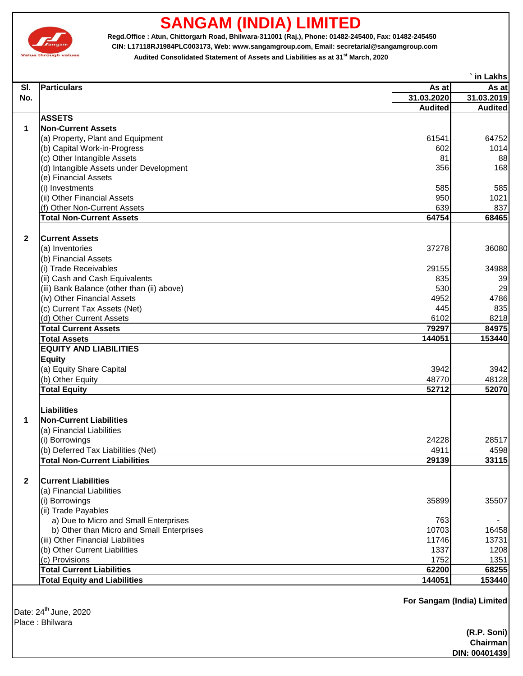

 **Regd.Office : Atun, Chittorgarh Road, Bhilwara-311001 (Raj.), Phone: 01482-245400, Fax: 01482-245450 CIN: L17118RJ1984PLC003173, Web: www.sangamgroup.com, Email: secretarial@sangamgroup.com Audited Consolidated Statement of Assets and Liabilities as at 31st March, 2020**

|                |                                            |                | in Lakhs       |
|----------------|--------------------------------------------|----------------|----------------|
| SI.            | <b>Particulars</b>                         | As at          | As at          |
| No.            |                                            | 31.03.2020     | 31.03.2019     |
|                |                                            | <b>Audited</b> | <b>Audited</b> |
|                | <b>ASSETS</b>                              |                |                |
| 1              | <b>Non-Current Assets</b>                  |                |                |
|                | (a) Property, Plant and Equipment          | 61541          | 64752          |
|                | (b) Capital Work-in-Progress               | 602            | 1014           |
|                | (c) Other Intangible Assets                | 81             | 88             |
|                | (d) Intangible Assets under Development    | 356            | 168            |
|                | (e) Financial Assets                       |                |                |
|                | (i) Investments                            | 585            | 585            |
|                | (ii) Other Financial Assets                | 950            | 1021           |
|                | (f) Other Non-Current Assets               | 639            | 837            |
|                | <b>Total Non-Current Assets</b>            | 64754          | 68465          |
| $\overline{2}$ | <b>Current Assets</b>                      |                |                |
|                | (a) Inventories                            | 37278          | 36080          |
|                | (b) Financial Assets                       |                |                |
|                | (i) Trade Receivables                      | 29155          | 34988          |
|                | (ii) Cash and Cash Equivalents             | 835            | 39             |
|                | (iii) Bank Balance (other than (ii) above) | 530            | 29             |
|                | (iv) Other Financial Assets                | 4952           | 4786           |
|                | (c) Current Tax Assets (Net)               | 445            | 835            |
|                | (d) Other Current Assets                   | 6102           | 8218           |
|                | <b>Total Current Assets</b>                | 79297          | 84975          |
|                | <b>Total Assets</b>                        | 144051         | 153440         |
|                | <b>EQUITY AND LIABILITIES</b>              |                |                |
|                |                                            |                |                |
|                | <b>Equity</b><br>(a) Equity Share Capital  | 3942           | 3942           |
|                | (b) Other Equity                           | 48770          | 48128          |
|                | <b>Total Equity</b>                        | 52712          | 52070          |
|                |                                            |                |                |
|                | <b>Liabilities</b>                         |                |                |
| 1              | <b>Non-Current Liabilities</b>             |                |                |
|                | (a) Financial Liabilities                  |                |                |
|                | (i) Borrowings                             | 24228          | 28517          |
|                | (b) Deferred Tax Liabilities (Net)         | 4911           | 4598           |
|                | <b>Total Non-Current Liabilities</b>       | 29139          | 33115          |
| $\mathbf{2}$   | <b>Current Liabilities</b>                 |                |                |
|                | (a) Financial Liabilities                  |                |                |
|                | (i) Borrowings                             | 35899          | 35507          |
|                | (ii) Trade Payables                        |                |                |
|                | a) Due to Micro and Small Enterprises      | 763            |                |
|                | b) Other than Micro and Small Enterprises  | 10703          | 16458          |
|                | (iii) Other Financial Liabilities          | 11746          | 13731          |
|                | (b) Other Current Liabilities              | 1337           | 1208           |
|                | (c) Provisions                             | 1752           | 1351           |
|                | <b>Total Current Liabilities</b>           | 62200          | 68255          |
|                | <b>Total Equity and Liabilities</b>        | 144051         | 153440         |

Date: 24<sup>th</sup> June, 2020 Place : Bhilwara

**For Sangam (India) Limited**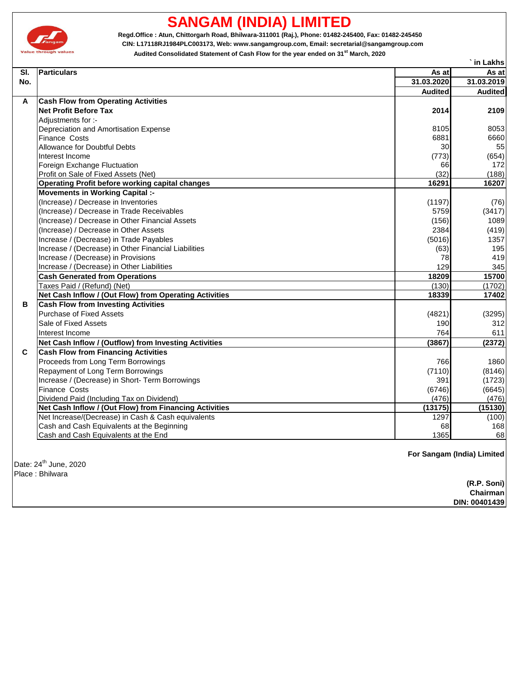

 **Regd.Office : Atun, Chittorgarh Road, Bhilwara-311001 (Raj.), Phone: 01482-245400, Fax: 01482-245450 CIN: L17118RJ1984PLC003173, Web: www.sangamgroup.com, Email: secretarial@sangamgroup.com**

**Audited Consolidated Statement of Cash Flow for the year ended on 31st March, 2020**

|     |                                                        |                | in Lakhs                   |
|-----|--------------------------------------------------------|----------------|----------------------------|
| SI. | <b>Particulars</b>                                     | As atl         | As at                      |
| No. |                                                        | 31.03.2020     | 31.03.2019                 |
|     |                                                        | <b>Audited</b> | <b>Audited</b>             |
| A   | <b>Cash Flow from Operating Activities</b>             |                |                            |
|     | <b>Net Profit Before Tax</b>                           | 2014           | 2109                       |
|     | Adiustments for :-                                     |                |                            |
|     | Depreciation and Amortisation Expense                  | 8105           | 8053                       |
|     | Finance Costs                                          | 6881           | 6660                       |
|     | Allowance for Doubtful Debts                           | 30             | 55                         |
|     | Interest Income                                        | (773)          | (654)                      |
|     | Foreign Exchange Fluctuation                           | 66             | 172                        |
|     | Profit on Sale of Fixed Assets (Net)                   | (32)           | (188)                      |
|     | <b>Operating Profit before working capital changes</b> | 16291          | 16207                      |
|     | <b>Movements in Working Capital :-</b>                 |                |                            |
|     | (Increase) / Decrease in Inventories                   | (1197)         | (76)                       |
|     | (Increase) / Decrease in Trade Receivables             | 5759           | (3417)                     |
|     | (Increase) / Decrease in Other Financial Assets        | (156)          | 1089                       |
|     | (Increase) / Decrease in Other Assets                  | 2384           | (419)                      |
|     | Increase / (Decrease) in Trade Payables                | (5016)         | 1357                       |
|     | Increase / (Decrease) in Other Financial Liabilities   | (63)           | 195                        |
|     | Increase / (Decrease) in Provisions                    | 78             | 419                        |
|     | Increase / (Decrease) in Other Liabilities             | 129            | 345                        |
|     | <b>Cash Generated from Operations</b>                  | 18209          | 15700                      |
|     | Taxes Paid / (Refund) (Net)                            | (130)          | (1702)                     |
|     | Net Cash Inflow / (Out Flow) from Operating Activities | 18339          | 17402                      |
| в   | <b>Cash Flow from Investing Activities</b>             |                |                            |
|     | <b>Purchase of Fixed Assets</b>                        | (4821)         | (3295)                     |
|     | Sale of Fixed Assets                                   | 190            | 312                        |
|     | Interest Income                                        | 764            | 611                        |
|     | Net Cash Inflow / (Outflow) from Investing Activities  | (3867)         | (2372)                     |
| C   | <b>Cash Flow from Financing Activities</b>             |                |                            |
|     | Proceeds from Long Term Borrowings                     | 766            | 1860                       |
|     | Repayment of Long Term Borrowings                      | (7110)         | (8146)                     |
|     | Increase / (Decrease) in Short- Term Borrowings        | 391            | (1723)                     |
|     | Finance Costs                                          | (6746)         | (6645)                     |
|     | Dividend Paid (Including Tax on Dividend)              | (476)          | (476)                      |
|     | Net Cash Inflow / (Out Flow) from Financing Activities | (13175)        | (15130)                    |
|     | Net Increase/(Decrease) in Cash & Cash equivalents     | 1297           | (100)                      |
|     | Cash and Cash Equivalents at the Beginning             | 68             | 168                        |
|     | Cash and Cash Equivalents at the End                   | 1365           | 68                         |
|     | Date: 24 <sup>th</sup> June, 2020                      |                | For Sangam (India) Limited |

Place : Bhilwara

**(R.P. Soni)**

**Chairman DIN: 00401439**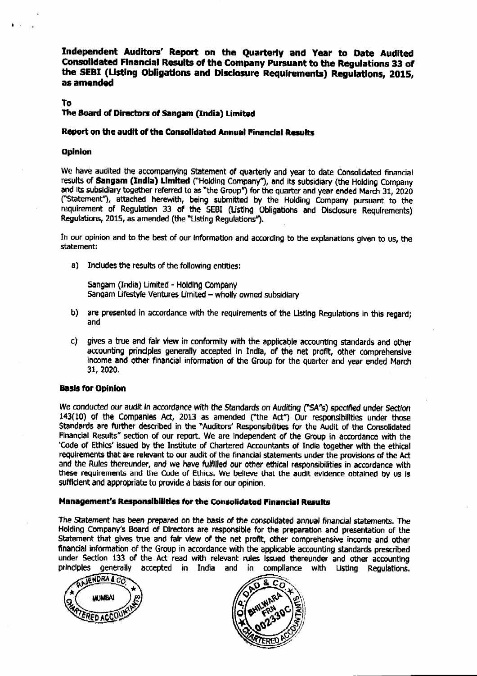Independent Auditors' Report on the Quarterly and Year to Date Audited Consolidated Flnandal Results of the Company Pursuant to the Regulations 33 of the SEBI (Listing Obligations and Disclosure Requirements) Requlations, 2015, as amended

## To the Board of Directors of Sangam (India) Umited

### Report on the audit of the Consolidated Annual Financial Results

### **Opinion**

· ,

We have audited the accompanying Statement of quarterly and year to date Consolidated financial results of Sangam (India) Limited ("Holding Company"), and its subsidiary (the Holding Company and its subsidiary together referred to as "the Group") for the quarter and year ended March 31, 2020 ("Statement"), attached herewith, being submitted by the Holding Company pursuant to the requirement of Regulation 33 of the SEBI (Ustlng obligatiohs and Disclosure Requirements) Regulations, 2015, as amended (the "Listing Regulations").

In our opinion and to the best of our Information and according to the explanations given to us, the statement:

a) Indudes the results of the following entities:

Sangam (India) Limited - Holding Company Sangam Lifestyle Ventures Limited - wholly owned subsidiary

- b) are presented in accordance with the requirements of the Listing Regulations in this regard; and
- c) gives a true and fatr view in conformity with the appticable accounting standards and other accounting principles generally accepted in India, of the net profit, other comprehensive income and other financial information of the Group for the quarter and year ended March 31,2020.

### Basis for Opinion

We conducted our audit in accordance with the Standards on Auditing ("SA"s) specified under Section 143(10) of the Companies Act, 2013 as amended ("the Act") Our responsibilities under those Standards are further described in the "Auditors' Responsibilities for the Audit of the Consolidated Financial Results" section of our report. We are Independent of the Group in accordance with the 'Code of Ethics' issued by the Institute of Chartered Accountants of India together with the ethical requirements that are relevant to our audit of the financial statements under the provisions of the Act and the Rules thereunder, and we have fulfilled our other ethical responsibilities in accordance with these requirements and the Code of Ethics. We believe that the audit evidence obtained by us is sufficient and approptiate to provide a basis for our opinion.

#### Management's Responsibilities for the Consolidated Financial Results

The Statement has been *prepared* on the basis of the consolidated annuaJ *financial* statements. The Holding Companys Board of Directors are responsible for the preparation and presentation of the Statement that gives true and fair view of the net profit, other comprehensive income and other tinandal information of the Group in accordance with the applicable accounting standards prescribed under Section 133 of the Act read with relevant rules issued thereunder and other accounting principles generally accepted in India and in compliance with Listing Regulations. generally accepted in India and in compliance with Listing Regulations.



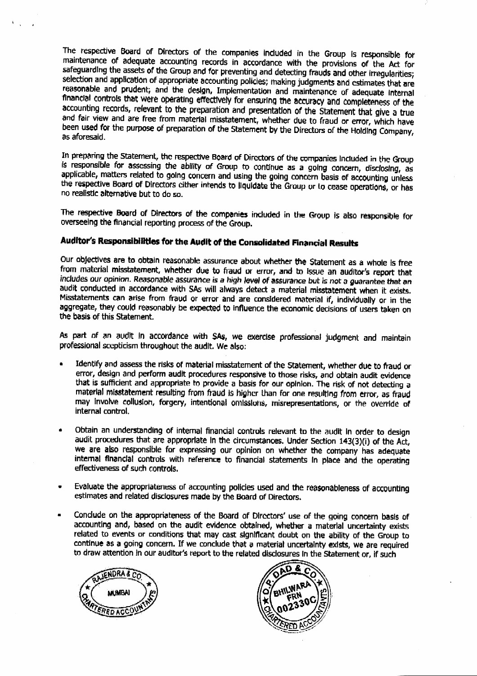The respective Board of Directors of the companies included in the Group Is responsible for maintenance of adequate accounting records in accordance with the provisions of the Act for safeguarding the assets of the Group and *tor* preventing and detecting frauds and other irregularities; selection and application of appropriate accounting policies; making judgments and estimates that are reasonable and prudent; and the desIgn, Implementation and maintenance of adequate Internal financial controls that were operating effectively for ensuring the accuracy and completeness of the accounting records, relevant to the preparation and presentation *of* the Statement that give a true and fair view and are free from material misstatement, Whether due to fraud or error, which have been used *for* the purpose of preparation of the Statement by the Directors of the Holding Cornpany, as aforesaid.

In preparing the Statement, the respective Board of Directors of the companies Included in the Group Is responsible for assessing the ability of Group to continue as a going concern, disclosing, as applicable, matters related to going concern and using the going concern basis of accounting unless the respective Board of Directors cither intends to liquidate the Group or to cease operations, or has no realistic alternative but to do so.

The respective Board of Directors of the companies included in the Group is also responsible for overseeing the financial reporting process of the Group.

## Auditor's Responsibilities for the Audit of the Consolidated Financial Results

Our objectives are to obtain reasonable assurance about whether the Statement as a whole is free from material misstatement, whether due to fraud or error, and to Issue an auditor's report that *includes our opinion. Reasonable assurance is a high level of assurance but is not a guarantee that an* audit conducted in accordance with SAs will always detect a material misstatement when it exists. Misstatements can arise from fraud or error and are considered material if, individually or in the aggregate, they could reasonably be expected to influence the economic decisions of users taken on the basis of this Statement.

As part of an audit in accordance with SAs, we exercise professional judgment and maintain professional scepticism throughout the audit. We also:

- Identify and assess the risks *of* material misstatement of the Statement, whether due to fraud or error, design and perform audit procedures responsive to those risks, and obtain audit evidence that is sufficient and appropriate to provide a basis for our opinion. The risk of not detecting a material misstatement resulting from fraud is higher than for one resulting from error, as fraud may involve collusion, forgery, intentional omissions, misrepresentations, or the override of lnternal control.
- Obtain an understanding of internal financial controls relevant to the audit in order to design audit procedures that are appropriate in the circumstances. Under Section 143(3)(i) of the Act, we are also responsible for expressing our opinion on whether the company has adequate internal financial controls with reference to financial statements in place and the operating effectiveness of such controls.
- Evaluate the appropriateness of accounting policies used and the reasonableness of accounting estimates and related disclosures made by the Board of Directors.
- Conclude on the appropriateness of the Board of Directors' use of the going concern basis of accounting and, based on the audit evidence obtained, whether a material uncertainty exists related to events or conditions that may cast significant doubt on the ability of the Group to continue as a going concern. If we conclude that a material uncertainty exists, we are required to draw attention in our auditor's report to the related disclosures in the Statement or, if such